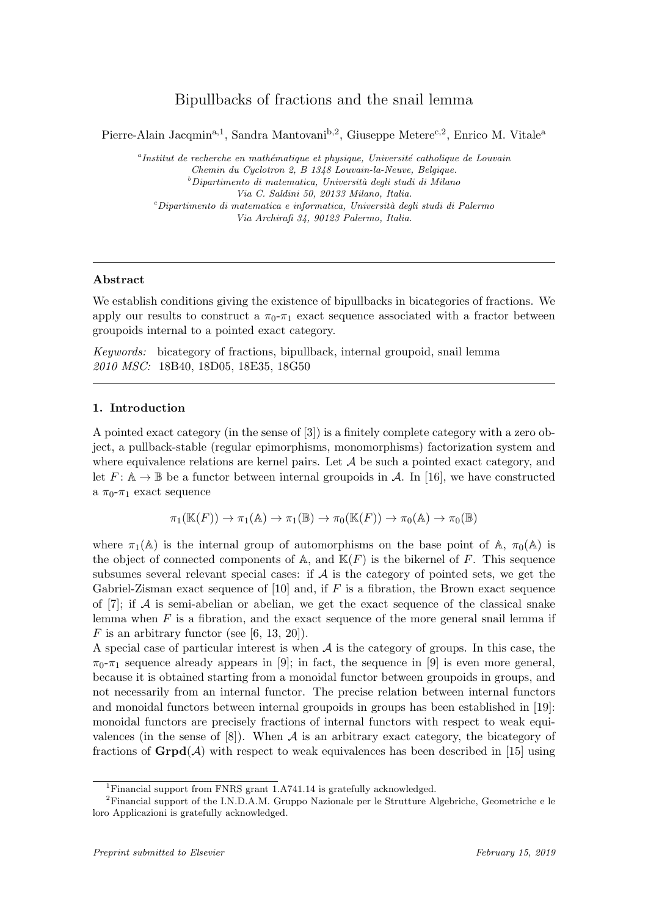# Bipullbacks of fractions and the snail lemma

Pierre-Alain Jacqmin<sup>a,1</sup>, Sandra Mantovani<sup>b,2</sup>, Giuseppe Metere<sup>c,2</sup>, Enrico M. Vitale<sup>a</sup>

 $a<sup>a</sup>$ Institut de recherche en mathématique et physique, Université catholique de Louvain Chemin du Cyclotron 2, B 1348 Louvain-la-Neuve, Belgique.  $^b\!$ Dipartimento di matematica, Università degli studi di Milano Via C. Saldini 50, 20133 Milano, Italia.  $c$ Dipartimento di matematica e informatica, Università degli studi di Palermo Via Archirafi 34, 90123 Palermo, Italia.

# Abstract

We establish conditions giving the existence of bipullbacks in bicategories of fractions. We apply our results to construct a  $\pi_0$ - $\pi_1$  exact sequence associated with a fractor between groupoids internal to a pointed exact category.

Keywords: bicategory of fractions, bipullback, internal groupoid, snail lemma 2010 MSC: 18B40, 18D05, 18E35, 18G50

# 1. Introduction

A pointed exact category (in the sense of [3]) is a finitely complete category with a zero object, a pullback-stable (regular epimorphisms, monomorphisms) factorization system and where equivalence relations are kernel pairs. Let  $A$  be such a pointed exact category, and let  $F: \mathbb{A} \to \mathbb{B}$  be a functor between internal groupoids in A. In [16], we have constructed a  $\pi_0$ - $\pi_1$  exact sequence

$$
\pi_1(\mathbb{K}(F)) \to \pi_1(\mathbb{A}) \to \pi_1(\mathbb{B}) \to \pi_0(\mathbb{K}(F)) \to \pi_0(\mathbb{A}) \to \pi_0(\mathbb{B})
$$

where  $\pi_1(\mathbb{A})$  is the internal group of automorphisms on the base point of  $\mathbb{A}$ ,  $\pi_0(\mathbb{A})$  is the object of connected components of A, and  $\mathbb{K}(F)$  is the bikernel of F. This sequence subsumes several relevant special cases: if  $A$  is the category of pointed sets, we get the Gabriel-Zisman exact sequence of [10] and, if  $F$  is a fibration, the Brown exact sequence of [7]; if  $\mathcal A$  is semi-abelian or abelian, we get the exact sequence of the classical snake lemma when  $F$  is a fibration, and the exact sequence of the more general snail lemma if F is an arbitrary functor (see [6, 13, 20]).

A special case of particular interest is when  $A$  is the category of groups. In this case, the  $\pi_{0}$ - $\pi_{1}$  sequence already appears in [9]; in fact, the sequence in [9] is even more general, because it is obtained starting from a monoidal functor between groupoids in groups, and not necessarily from an internal functor. The precise relation between internal functors and monoidal functors between internal groupoids in groups has been established in [19]: monoidal functors are precisely fractions of internal functors with respect to weak equivalences (in the sense of  $[8]$ ). When A is an arbitrary exact category, the bicategory of fractions of  $\mathbf{Grpd}(\mathcal{A})$  with respect to weak equivalences has been described in [15] using

<sup>1</sup>Financial support from FNRS grant 1.A741.14 is gratefully acknowledged.

<sup>2</sup>Financial support of the I.N.D.A.M. Gruppo Nazionale per le Strutture Algebriche, Geometriche e le loro Applicazioni is gratefully acknowledged.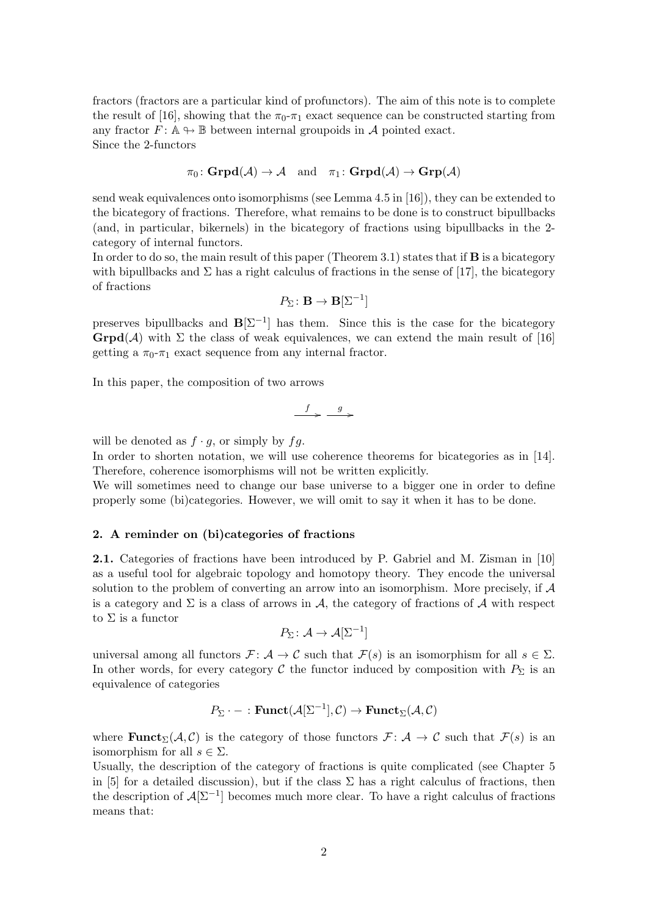fractors (fractors are a particular kind of profunctors). The aim of this note is to complete the result of [16], showing that the  $\pi_0$ - $\pi_1$  exact sequence can be constructed starting from any fractor  $F: \mathbb{A} \to \mathbb{B}$  between internal groupoids in A pointed exact. Since the 2-functors

$$
\pi_0\colon \mathbf{Grpd}(\mathcal{A})\to \mathcal{A} \quad \text{and} \quad \pi_1\colon \mathbf{Grpd}(\mathcal{A})\to \mathbf{Grp}(\mathcal{A})
$$

send weak equivalences onto isomorphisms (see Lemma 4.5 in [16]), they can be extended to the bicategory of fractions. Therefore, what remains to be done is to construct bipullbacks (and, in particular, bikernels) in the bicategory of fractions using bipullbacks in the 2 category of internal functors.

In order to do so, the main result of this paper (Theorem 3.1) states that if  $\bf{B}$  is a bicategory with bipullbacks and  $\Sigma$  has a right calculus of fractions in the sense of [17], the bicategory of fractions

$$
P_{\Sigma} \colon \mathbf{B} \to \mathbf{B}[\Sigma^{-1}]
$$

preserves bipullbacks and  $\mathbf{B}[\Sigma^{-1}]$  has them. Since this is the case for the bicategory  $\mathbf{Grpd}(\mathcal{A})$  with  $\Sigma$  the class of weak equivalences, we can extend the main result of [16] getting a  $\pi_0$ - $\pi_1$  exact sequence from any internal fractor.

In this paper, the composition of two arrows

$$
\xrightarrow{f} \xrightarrow{g}
$$

/

will be denoted as  $f \cdot g$ , or simply by  $fg$ .

In order to shorten notation, we will use coherence theorems for bicategories as in [14]. Therefore, coherence isomorphisms will not be written explicitly.

We will sometimes need to change our base universe to a bigger one in order to define properly some (bi)categories. However, we will omit to say it when it has to be done.

## 2. A reminder on (bi)categories of fractions

2.1. Categories of fractions have been introduced by P. Gabriel and M. Zisman in [10] as a useful tool for algebraic topology and homotopy theory. They encode the universal solution to the problem of converting an arrow into an isomorphism. More precisely, if  $\mathcal A$ is a category and  $\Sigma$  is a class of arrows in  $\mathcal{A}$ , the category of fractions of  $\mathcal A$  with respect to  $\Sigma$  is a functor

$$
P_{\Sigma} \colon \mathcal{A} \to \mathcal{A}[\Sigma^{-1}]
$$

universal among all functors  $\mathcal{F} : A \to C$  such that  $\mathcal{F}(s)$  is an isomorphism for all  $s \in \Sigma$ . In other words, for every category C the functor induced by composition with  $P_{\Sigma}$  is an equivalence of categories

$$
P_{\Sigma} \cdot - : \mathbf{Funct}(\mathcal{A}[\Sigma^{-1}], \mathcal{C}) \to \mathbf{Funct}_{\Sigma}(\mathcal{A}, \mathcal{C})
$$

where **Funct**<sub> $\Sigma$ </sub>( $\mathcal{A}, \mathcal{C}$ ) is the category of those functors  $\mathcal{F} : \mathcal{A} \to \mathcal{C}$  such that  $\mathcal{F}(s)$  is an isomorphism for all  $s \in \Sigma$ .

Usually, the description of the category of fractions is quite complicated (see Chapter 5 in [5] for a detailed discussion), but if the class  $\Sigma$  has a right calculus of fractions, then the description of  $\mathcal{A}[\Sigma^{-1}]$  becomes much more clear. To have a right calculus of fractions means that: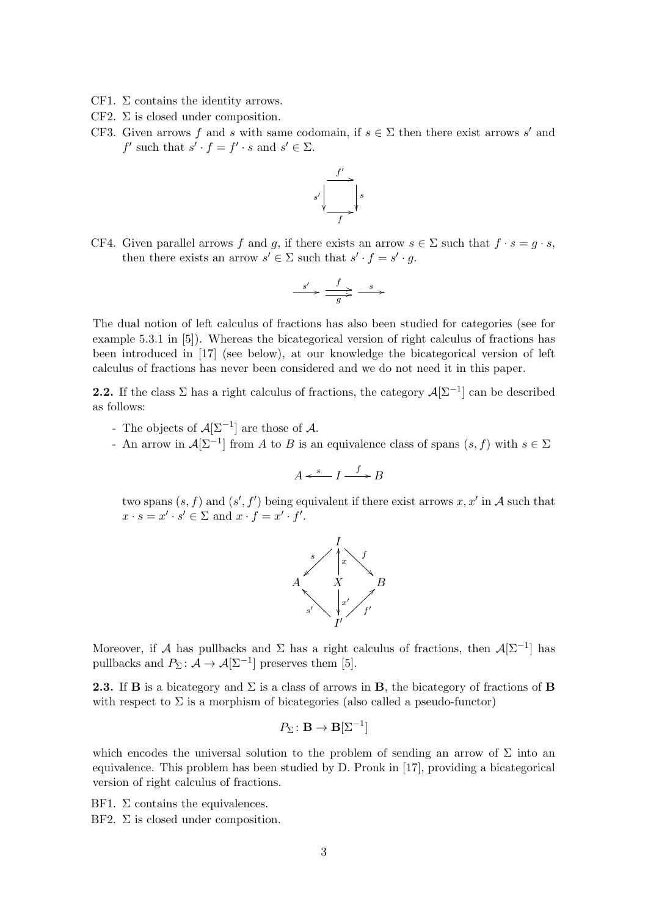- CF1.  $\Sigma$  contains the identity arrows.
- CF2.  $\Sigma$  is closed under composition.
- CF3. Given arrows f and s with same codomain, if  $s \in \Sigma$  then there exist arrows s' and  $f'$  such that  $s' \cdot f = f' \cdot s$  and  $s' \in \Sigma$ .



CF4. Given parallel arrows f and g, if there exists an arrow  $s \in \Sigma$  such that  $f \cdot s = g \cdot s$ , then there exists an arrow  $s' \in \Sigma$  such that  $s' \cdot f = s' \cdot g$ .

$$
\xrightarrow{\quad s' \quad \xrightarrow{\quad} \quad} \xrightarrow{\quad s \quad \xrightarrow{\quad} \quad}
$$

The dual notion of left calculus of fractions has also been studied for categories (see for example 5.3.1 in [5]). Whereas the bicategorical version of right calculus of fractions has been introduced in [17] (see below), at our knowledge the bicategorical version of left calculus of fractions has never been considered and we do not need it in this paper.

**2.2.** If the class  $\Sigma$  has a right calculus of fractions, the category  $\mathcal{A}[\Sigma^{-1}]$  can be described as follows:

- The objects of  $\mathcal{A}[\Sigma^{-1}]$  are those of  $\mathcal{A}$ .
- An arrow in  $\mathcal{A}[\Sigma^{-1}]$  from A to B is an equivalence class of spans  $(s, f)$  with  $s \in \Sigma$

$$
A \xleftarrow{s} I \xrightarrow{f} B
$$

two spans  $(s, f)$  and  $(s', f')$  being equivalent if there exist arrows  $x, x'$  in A such that  $x \cdot s = x' \cdot s' \in \Sigma$  and  $x \cdot f = x' \cdot f'$ .



Moreover, if A has pullbacks and  $\Sigma$  has a right calculus of fractions, then  $\mathcal{A}[\Sigma^{-1}]$  has pullbacks and  $P_{\Sigma} \colon \mathcal{A} \to \mathcal{A}[\Sigma^{-1}]$  preserves them [5].

**2.3.** If **B** is a bicategory and  $\Sigma$  is a class of arrows in **B**, the bicategory of fractions of **B** with respect to  $\Sigma$  is a morphism of bicategories (also called a pseudo-functor)

$$
P_{\Sigma} \colon \mathbf{B} \to \mathbf{B}[\Sigma^{-1}]
$$

which encodes the universal solution to the problem of sending an arrow of  $\Sigma$  into an equivalence. This problem has been studied by D. Pronk in [17], providing a bicategorical version of right calculus of fractions.

BF1. Σ contains the equivalences.

BF2.  $\Sigma$  is closed under composition.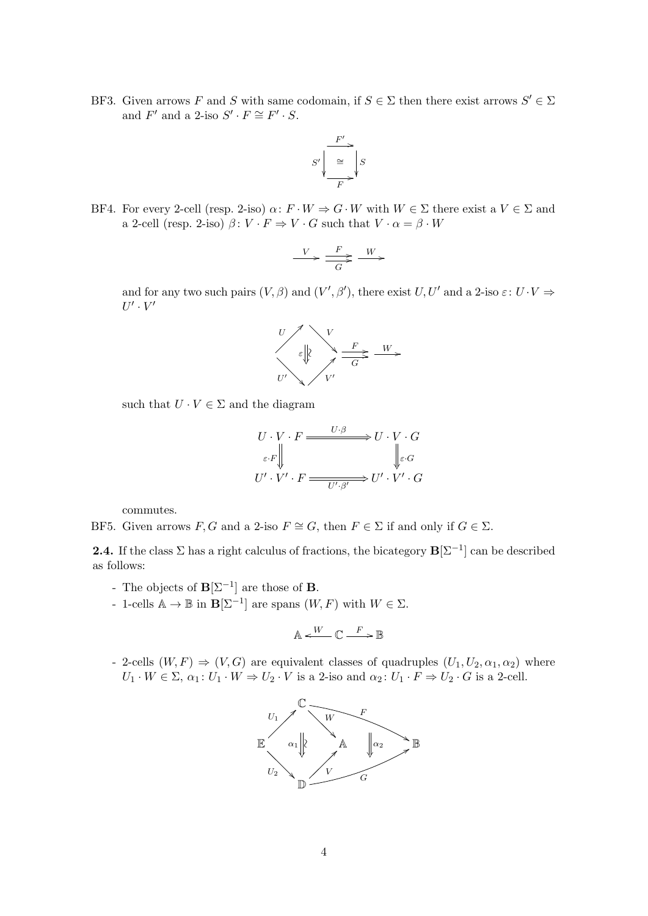BF3. Given arrows F and S with same codomain, if  $S \in \Sigma$  then there exist arrows  $S' \in \Sigma$ and  $F'$  and a 2-iso  $S' \cdot F \cong F' \cdot S$ .

$$
S' \sqrt{\frac{F'}{\frac{Q}{F}}} \sqrt{S}
$$

BF4. For every 2-cell (resp. 2-iso)  $\alpha: F \cdot W \Rightarrow G \cdot W$  with  $W \in \Sigma$  there exist a  $V \in \Sigma$  and a 2-cell (resp. 2-iso)  $\beta: V \cdot F \Rightarrow V \cdot G$  such that  $V \cdot \alpha = \beta \cdot W$ 

$$
\stackrel{V}{\longrightarrow} \frac{F}{\stackrel{G}{\longrightarrow}} \stackrel{W}{\longrightarrow}
$$

and for any two such pairs  $(V, \beta)$  and  $(V', \beta')$ , there exist  $U, U'$  and a 2-iso  $\varepsilon: U \cdot V \Rightarrow$  $U'\cdot V'$ 



such that  $U \cdot V \in \Sigma$  and the diagram

$$
U \cdot V \cdot F \xrightarrow{U \cdot \beta} U \cdot V \cdot G
$$

$$
\varepsilon \cdot F \Big\downarrow \qquad \qquad \downarrow \varepsilon \cdot G
$$

$$
U' \cdot V' \cdot F \xrightarrow{U' \cdot \beta'} U' \cdot V' \cdot G
$$

commutes.

BF5. Given arrows  $F, G$  and a 2-iso  $F \cong G$ , then  $F \in \Sigma$  if and only if  $G \in \Sigma$ .

**2.4.** If the class  $\Sigma$  has a right calculus of fractions, the bicategory  $\mathbf{B}[\Sigma^{-1}]$  can be described as follows:

- The objects of  $\mathbf{B}[\Sigma^{-1}]$  are those of **B**.
- 1-cells  $\mathbb{A} \to \mathbb{B}$  in **B**[Σ<sup>-1</sup>] are spans  $(W, F)$  with  $W \in \Sigma$ .

$$
\mathbb{A} \xleftarrow{W} \mathbb{C} \xrightarrow{F} \mathbb{B}
$$

- 2-cells  $(W, F) \Rightarrow (V, G)$  are equivalent classes of quadruples  $(U_1, U_2, \alpha_1, \alpha_2)$  where  $U_1 \cdot W \in \Sigma$ ,  $\alpha_1 \colon U_1 \cdot W \Rightarrow U_2 \cdot V$  is a 2-iso and  $\alpha_2 \colon U_1 \cdot F \Rightarrow U_2 \cdot G$  is a 2-cell.

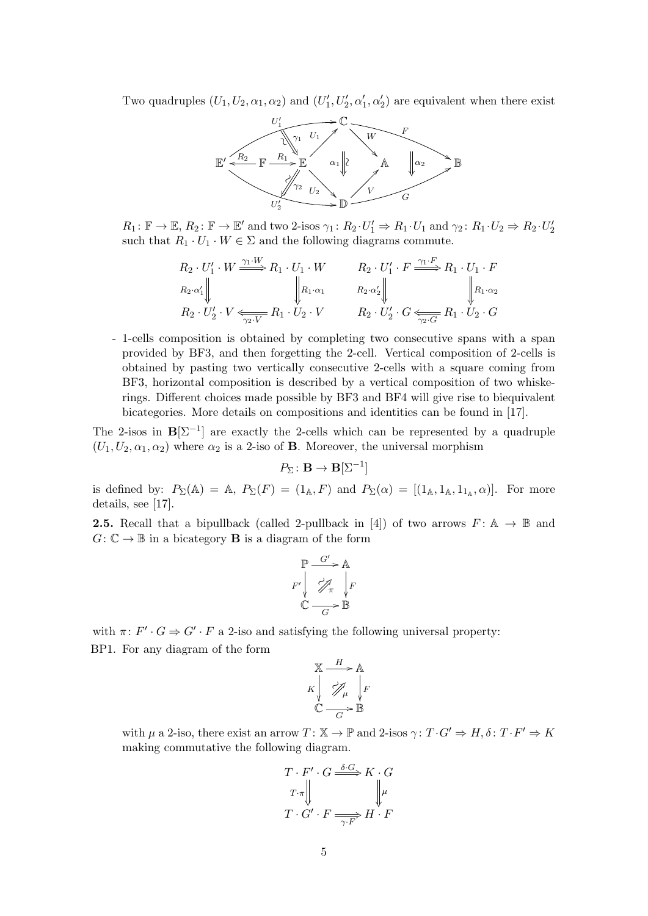Two quadruples  $(U_1, U_2, \alpha_1, \alpha_2)$  and  $(U'_1, U'_2, \alpha'_1, \alpha'_2)$  are equivalent when there exist



 $R_1: \mathbb{F} \to \mathbb{E}, R_2: \mathbb{F} \to \mathbb{E}'$  and two 2-isos  $\gamma_1: R_2 \cdot U'_1 \Rightarrow R_1 \cdot U_1$  and  $\gamma_2: R_1 \cdot U_2 \Rightarrow R_2 \cdot U'_2$ such that  $R_1 \cdot U_1 \cdot W \in \Sigma$  and the following diagrams commute.

$$
R_2 \cdot U_1' \cdot W \xrightarrow{\gamma_1 \cdot W} R_1 \cdot U_1 \cdot W \qquad R_2 \cdot U_1' \cdot F \xrightarrow{\gamma_1 \cdot F} R_1 \cdot U_1 \cdot F
$$
  
\n
$$
R_2 \cdot \alpha_1' \parallel \qquad \qquad R_1 \cdot \alpha_1 \qquad R_2 \cdot \alpha_2' \parallel \qquad \qquad R_1 \cdot \alpha_2
$$
  
\n
$$
R_2 \cdot U_2' \cdot V \xleftarrow{\gamma_2 \cdot V} R_1 \cdot U_2 \cdot V \qquad R_2 \cdot U_2' \cdot G \xleftarrow{\gamma_2 \cdot G} R_1 \cdot U_2 \cdot G
$$

- 1-cells composition is obtained by completing two consecutive spans with a span provided by BF3, and then forgetting the 2-cell. Vertical composition of 2-cells is obtained by pasting two vertically consecutive 2-cells with a square coming from BF3, horizontal composition is described by a vertical composition of two whiskerings. Different choices made possible by BF3 and BF4 will give rise to biequivalent bicategories. More details on compositions and identities can be found in [17].

The 2-isos in  $\mathbf{B}[\Sigma^{-1}]$  are exactly the 2-cells which can be represented by a quadruple  $(U_1, U_2, \alpha_1, \alpha_2)$  where  $\alpha_2$  is a 2-iso of **B**. Moreover, the universal morphism

$$
P_{\Sigma} \colon \mathbf{B} \to \mathbf{B}[\Sigma^{-1}]
$$

is defined by:  $P_{\Sigma}(\mathbb{A}) = \mathbb{A}, P_{\Sigma}(F) = (1_{\mathbb{A}}, F)$  and  $P_{\Sigma}(\alpha) = [(1_{\mathbb{A}}, 1_{\mathbb{A}}, 1_{1_{\mathbb{A}}}, \alpha)].$  For more details, see [17].

**2.5.** Recall that a bipullback (called 2-pullback in [4]) of two arrows  $F: A \rightarrow \mathbb{B}$  and  $G: \mathbb{C} \to \mathbb{B}$  in a bicategory **B** is a diagram of the form

$$
\mathbb{P} \xrightarrow{G'} \mathbb{A}
$$
  

$$
F' \downarrow \qquad \mathcal{P}_{\pi} \downarrow F
$$
  

$$
\mathbb{C} \xrightarrow{G} \mathbb{B}
$$

with  $\pi: F' \cdot G \Rightarrow G' \cdot F$  a 2-iso and satisfying the following universal property: BP1. For any diagram of the form

$$
\begin{array}{c}\nX \xrightarrow{H} A \\
K \downarrow \nearrow \nearrow \downarrow \\
C \xrightarrow{G} B\n\end{array}
$$

with  $\mu$  a 2-iso, there exist an arrow  $T: \mathbb{X} \to \mathbb{P}$  and 2-isos  $\gamma: T \cdot G' \Rightarrow H, \delta: T \cdot F' \Rightarrow K$ making commutative the following diagram.

$$
T \cdot F' \cdot G \xrightarrow{\delta \cdot G} K \cdot G
$$
  

$$
T \cdot \pi \downarrow \qquad \qquad \downarrow \mu
$$
  

$$
T \cdot G' \cdot F \xrightarrow{\gamma \cdot F} H \cdot F
$$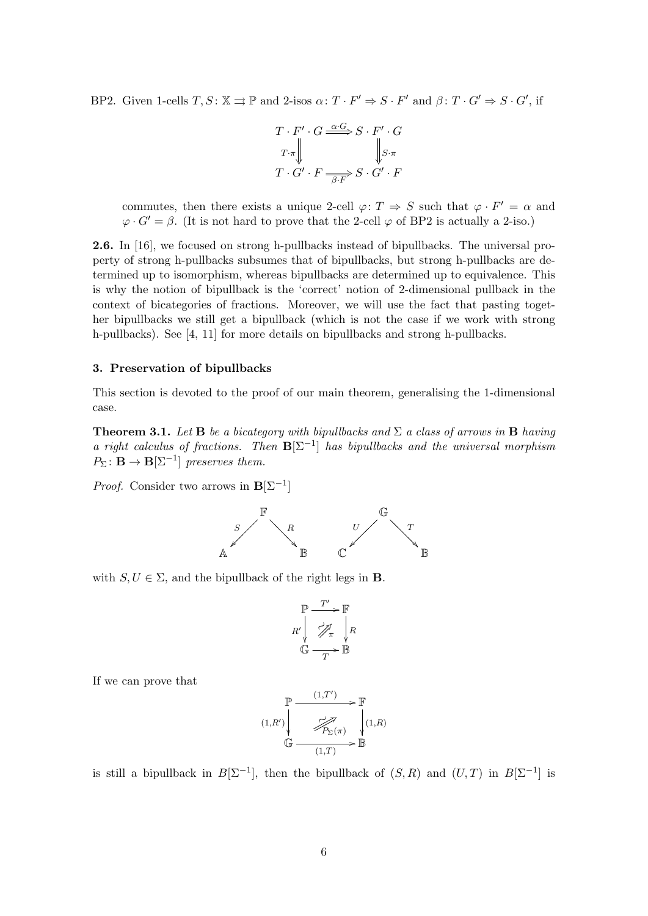BP2. Given 1-cells  $T, S: \mathbb{X} \rightrightarrows \mathbb{P}$  and 2-isos  $\alpha: T \cdot F' \Rightarrow S \cdot F'$  and  $\beta: T \cdot G' \Rightarrow S \cdot G'$ , if

$$
T \cdot F' \cdot G \xrightarrow{\alpha \cdot G} S \cdot F' \cdot G
$$
  
\n
$$
T \cdot \overline{G'} \cdot F \xrightarrow{\alpha \cdot G} S \cdot G' \cdot F
$$
  
\n
$$
T \cdot G' \cdot F \xrightarrow{\beta \cdot F} S \cdot G' \cdot F
$$

commutes, then there exists a unique 2-cell  $\varphi: T \Rightarrow S$  such that  $\varphi \cdot F' = \alpha$  and  $\varphi \cdot G' = \beta$ . (It is not hard to prove that the 2-cell  $\varphi$  of BP2 is actually a 2-iso.)

2.6. In [16], we focused on strong h-pullbacks instead of bipullbacks. The universal property of strong h-pullbacks subsumes that of bipullbacks, but strong h-pullbacks are determined up to isomorphism, whereas bipullbacks are determined up to equivalence. This is why the notion of bipullback is the 'correct' notion of 2-dimensional pullback in the context of bicategories of fractions. Moreover, we will use the fact that pasting together bipullbacks we still get a bipullback (which is not the case if we work with strong h-pullbacks). See [4, 11] for more details on bipullbacks and strong h-pullbacks.

## 3. Preservation of bipullbacks

This section is devoted to the proof of our main theorem, generalising the 1-dimensional case.

**Theorem 3.1.** Let **B** be a bicategory with bipullbacks and  $\Sigma$  a class of arrows in **B** having a right calculus of fractions. Then  $B[\Sigma^{-1}]$  has bipullbacks and the universal morphism  $P_{\Sigma} : \mathbf{B} \to \mathbf{B}[\Sigma^{-1}]$  preserves them.

*Proof.* Consider two arrows in  $\mathbf{B}[\Sigma^{-1}]$ 



with  $S, U \in \Sigma$ , and the bipullback of the right legs in **B**.

$$
\mathbb{P} \xrightarrow{T'} \mathbb{F} \nR' \downarrow \n\mathcal{P}_{\pi} \downarrow R \n\mathbb{G} \xrightarrow{T} \mathbb{B}
$$

If we can prove that

$$
(1,R') \begin{array}{c}\n\mathbb{P} \xrightarrow{(1,T')} & \mathbb{F} \\
\downarrow \nearrow & \nearrow \\
\hline\n\mathcal{P}_{\Sigma}(\pi) & \downarrow (1,R) \\
\mathbb{G} \xrightarrow{(1,T)} & \mathbb{B}\n\end{array}
$$

is still a bipullback in  $B[\Sigma^{-1}]$ , then the bipullback of  $(S, R)$  and  $(U, T)$  in  $B[\Sigma^{-1}]$  is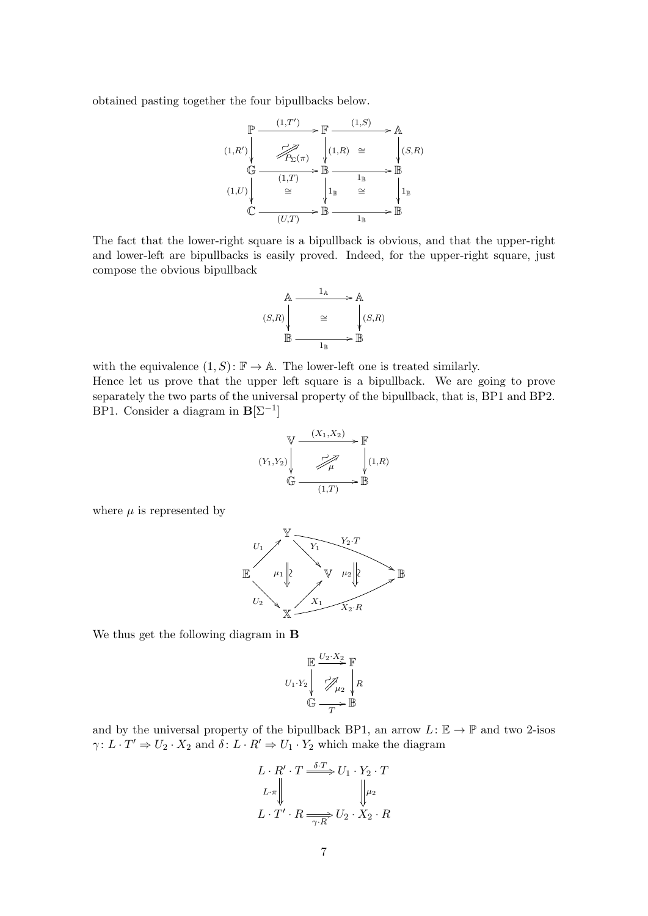obtained pasting together the four bipullbacks below.

$$
(1,R') \begin{array}{c}\n\mathbb{P} \xrightarrow{(1,T')} & \mathbb{F} \xrightarrow{(1,S)} \mathbb{A} \\
\hline\n\mathcal{P}_{\Sigma}(\pi) & \mathbb{I}(1,R) \cong & \mathbb{I}(S,R) \\
\mathbb{G} \xrightarrow{(1,T)} & \mathbb{B} \xrightarrow{1_B} & \mathbb{B} \\
\hline\n(1,U) \begin{array}{c}\n\mathbb{I}(1,T) \\
\mathbb{I}(1,T) \\
\mathbb{I}(1,T) \\
\mathbb{I}(1,T) \\
\mathbb{I}(1,T) \\
\mathbb{I}(1,T) \\
\mathbb{I}(1,T) \\
\mathbb{I}(1,T) \\
\mathbb{I}(1,T) \\
\mathbb{I}(1,T) \\
\mathbb{I}(1,T) \\
\mathbb{I}(1,T) \\
\mathbb{I}(1,T) \\
\mathbb{I}(1,T) \\
\mathbb{I}(1,T) \\
\end{array}
$$

The fact that the lower-right square is a bipullback is obvious, and that the upper-right and lower-left are bipullbacks is easily proved. Indeed, for the upper-right square, just compose the obvious bipullback

$$
(S,R)\begin{array}{ccc}\n & A & \xrightarrow{1_A} & A \\
 & \searrow & & A \\
 & \searrow & & (S,R) \\
 & \xrightarrow{1_B} & \xrightarrow{1_B} & \mathbb{B}\n\end{array}
$$

with the equivalence  $(1, S): \mathbb{F} \to \mathbb{A}$ . The lower-left one is treated similarly. Hence let us prove that the upper left square is a bipullback. We are going to prove separately the two parts of the universal property of the bipullback, that is, BP1 and BP2. BP1. Consider a diagram in  $\mathbf{B}[\Sigma^{-1}]$ 

$$
(Y_1, Y_2) \n\begin{array}{ccc}\n& (X_1, X_2) & \mathbb{F} \\
& \nearrow & \mathbb{F} \\
& \searrow & \searrow \\
& \mathbb{G} & \xrightarrow{(1,T)} & \mathbb{B}\n\end{array}
$$

where  $\mu$  is represented by



We thus get the following diagram in B

$$
U_1 \cdot Y_2 \downarrow \frac{\mathbb{E} \xrightarrow{U_2 \cdot X_2} \mathbb{F}}{\mathbb{E} \xrightarrow{T}} R
$$
  

$$
\mathbb{G} \xrightarrow{T} \mathbb{B}
$$

and by the universal property of the bipullback BP1, an arrow  $L: \mathbb{E} \to \mathbb{P}$  and two 2-isos  $\gamma: L \cdot T' \Rightarrow U_2 \cdot X_2$  and  $\delta: L \cdot R' \Rightarrow U_1 \cdot Y_2$  which make the diagram

$$
L \cdot R' \cdot T \xrightarrow{\delta \cdot T} U_1 \cdot Y_2 \cdot T
$$
  
\n
$$
L \cdot \pi \parallel \qquad \qquad \downarrow \qquad \downarrow \downarrow \downarrow
$$
  
\n
$$
L \cdot T' \cdot R \xrightarrow{\gamma \cdot R} U_2 \cdot X_2 \cdot R
$$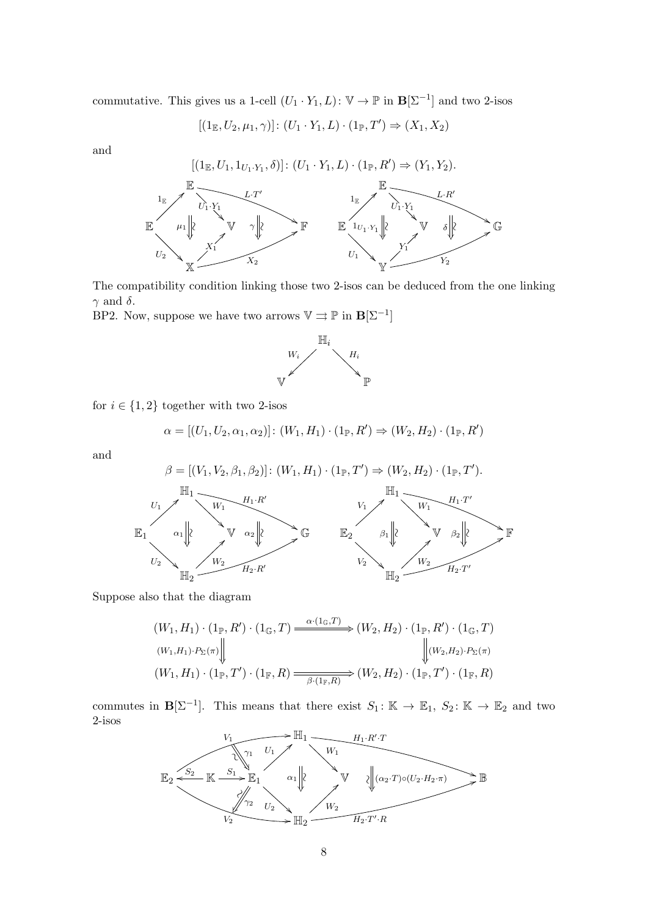commutative. This gives us a 1-cell  $(U_1 \cdot Y_1, L) \colon \mathbb{V} \to \mathbb{P}$  in  $\mathbf{B}[\Sigma^{-1}]$  and two 2-isos

$$
[(1_\mathbb{E},U_2,\mu_1,\gamma)]\colon (U_1\cdot Y_1,L)\cdot (1_\mathbb{P},T')\Rightarrow (X_1,X_2)
$$

and



The compatibility condition linking those two 2-isos can be deduced from the one linking  $\gamma$  and  $\delta$ .

BP2. Now, suppose we have two arrows  $\mathbb{V} \rightrightarrows \mathbb{P}$  in  $\mathbf{B}[\Sigma^{-1}]$ 



for  $i \in \{1,2\}$  together with two 2-isos

$$
\alpha = [(U_1, U_2, \alpha_1, \alpha_2)] : (W_1, H_1) \cdot (1_{\mathbb{P}}, R') \Rightarrow (W_2, H_2) \cdot (1_{\mathbb{P}}, R')
$$

and

β = [(V1, V2, β1, β2)]: (W1, H1) · (1P, T<sup>0</sup> ) ⇒ (W2, H2) · (1P, T<sup>0</sup> ). H1 W<sup>1</sup> H1·R<sup>0</sup> ∼ & α<sup>1</sup> E1 U<sup>1</sup> > <sup>U</sup><sup>2</sup> V G H2 W<sup>2</sup> > H2·R<sup>0</sup> 8 ∼ α<sup>2</sup> H1 W<sup>1</sup> H1·T 0 ∼ & β1 E2 V1 > <sup>V</sup><sup>2</sup> V F H2 W<sup>2</sup> > H2·T 0 8 ∼ β2 

Suppose also that the diagram

$$
(W_1, H_1) \cdot (1_{\mathbb{P}}, R') \cdot (1_{\mathbb{G}}, T) \xrightarrow{\alpha \cdot (1_{\mathbb{G}}, T)} (W_2, H_2) \cdot (1_{\mathbb{P}}, R') \cdot (1_{\mathbb{G}}, T)
$$
  

$$
(W_1, H_1) \cdot P_{\Sigma}(\pi) \downarrow^{\mathbb{Q}} \downarrow^{\mathbb{Q}} (W_2, H_2) \cdot P_{\Sigma}(\pi)
$$
  

$$
(W_1, H_1) \cdot (1_{\mathbb{P}}, T') \cdot (1_{\mathbb{F}}, R) \xrightarrow{\beta \cdot (1_{\mathbb{F}}, R)} (W_2, H_2) \cdot (1_{\mathbb{P}}, T') \cdot (1_{\mathbb{F}}, R)
$$

commutes in  $\mathbf{B}[\Sigma^{-1}]$ . This means that there exist  $S_1: \mathbb{K} \to \mathbb{E}_1$ ,  $S_2: \mathbb{K} \to \mathbb{E}_2$  and two 2-isos

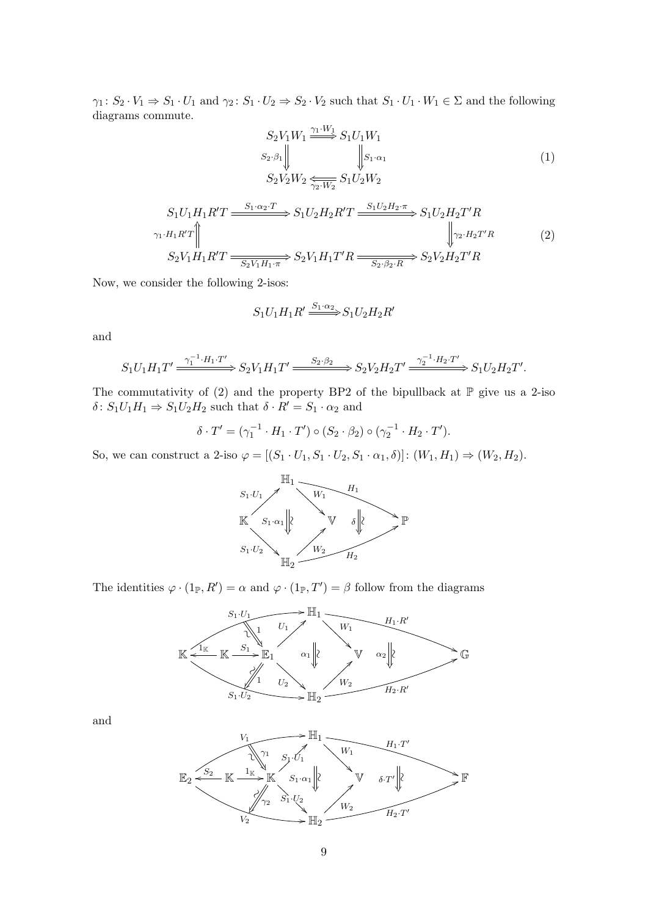$\gamma_1\colon S_2\cdot V_1\Rightarrow S_1\cdot U_1$  and  $\gamma_2\colon S_1\cdot U_2\Rightarrow S_2\cdot V_2$  such that  $S_1\cdot U_1\cdot W_1\in\Sigma$  and the following diagrams commute.

$$
S_2 V_1 W_1 \xrightarrow{\gamma_1 \cdot W_1} S_1 U_1 W_1
$$
  
\n
$$
S_2 \cdot \beta_1 \parallel \qquad \qquad \parallel S_1 \cdot \alpha_1
$$
  
\n
$$
S_2 V_2 W_2 \xleftarrow{\gamma_2 \cdot W_2} S_1 U_2 W_2
$$
\n(1)

$$
S_1U_1H_1R'T \xrightarrow{S_1 \cdot \alpha_2 \cdot T} S_1U_2H_2R'T \xrightarrow{S_1U_2H_2 \cdot \pi} S_1U_2H_2T'R
$$
  
\n
$$
\gamma_1 \cdot H_1R'T \xrightarrow{\gamma_2 \cdot H_2T'R} S_2V_1H_1T'R \xrightarrow{\gamma_2 \cdot H_2T'R} S_2V_2H_2T'R
$$
\n(2)

Now, we consider the following 2-isos:

$$
S_1U_1H_1R'\xrightarrow{S_1\cdot\alpha_2}S_1U_2H_2R'
$$

and

$$
S_1U_1H_1T' \xrightarrow{\gamma_1^{-1} \cdot H_1 \cdot T'} S_2V_1H_1T' \xrightarrow{S_2 \cdot \beta_2} S_2V_2H_2T' \xrightarrow{\gamma_2^{-1} \cdot H_2 \cdot T'} S_1U_2H_2T'.
$$

The commutativity of (2) and the property BP2 of the bipullback at  $\mathbb P$  give us a 2-iso  $\delta\colon S_1U_1H_1\Rightarrow S_1U_2H_2$  such that  $\delta\cdot R'=S_1\cdot\alpha_2$  and

$$
\delta \cdot T' = (\gamma_1^{-1} \cdot H_1 \cdot T') \circ (S_2 \cdot \beta_2) \circ (\gamma_2^{-1} \cdot H_2 \cdot T').
$$

So, we can construct a 2-iso  $\varphi = [(S_1 \cdot U_1, S_1 \cdot U_2, S_1 \cdot \alpha_1, \delta)] : (W_1, H_1) \Rightarrow (W_2, H_2)$ .



The identities  $\varphi \cdot (1_{\mathbb{P}}, R') = \alpha$  and  $\varphi \cdot (1_{\mathbb{P}}, T') = \beta$  follow from the diagrams



and

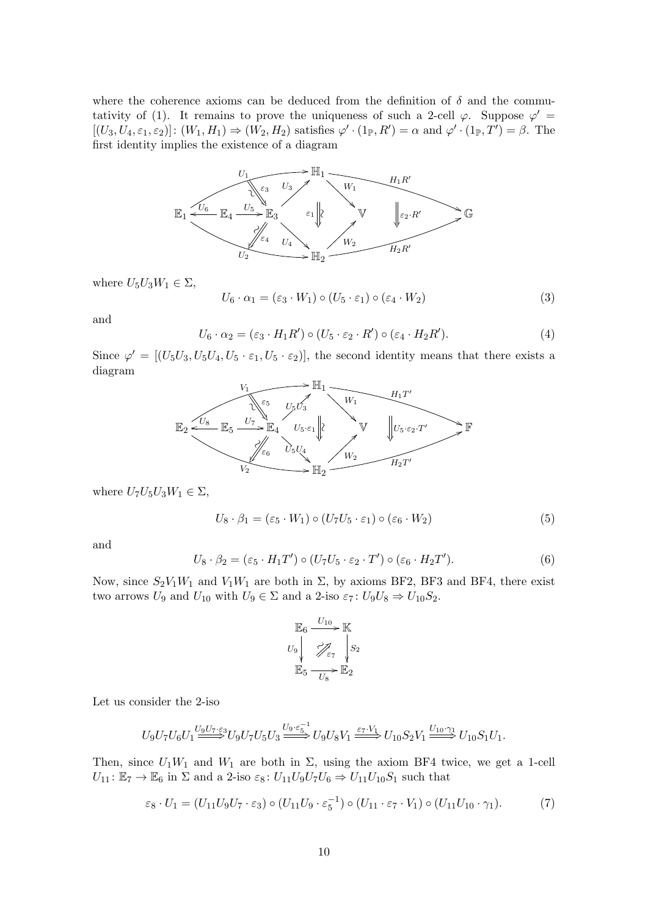where the coherence axioms can be deduced from the definition of  $\delta$  and the commutativity of (1). It remains to prove the uniqueness of such a 2-cell  $\varphi$ . Suppose  $\varphi'$  =  $[(U_3, U_4, \varepsilon_1, \varepsilon_2)] : (W_1, H_1) \Rightarrow (W_2, H_2)$  satisfies  $\varphi' \cdot (1_F, R') = \alpha$  and  $\varphi' \cdot (1_F, T') = \beta$ . The first identity implies the existence of a diagram



where  $U_5U_3W_1 \in \Sigma$ ,

$$
U_6 \cdot \alpha_1 = (\varepsilon_3 \cdot W_1) \circ (U_5 \cdot \varepsilon_1) \circ (\varepsilon_4 \cdot W_2)
$$
\n(3)

and

$$
U_6 \cdot \alpha_2 = (\varepsilon_3 \cdot H_1 R') \circ (U_5 \cdot \varepsilon_2 \cdot R') \circ (\varepsilon_4 \cdot H_2 R'). \tag{4}
$$

Since  $\varphi' = [(U_5U_3, U_5U_4, U_5 \cdot \varepsilon_1, U_5 \cdot \varepsilon_2)]$ , the second identity means that there exists a diagram



where  $U_7U_5U_3W_1 \in \Sigma$ ,

$$
U_8 \cdot \beta_1 = (\varepsilon_5 \cdot W_1) \circ (U_7 U_5 \cdot \varepsilon_1) \circ (\varepsilon_6 \cdot W_2)
$$
\n
$$
\tag{5}
$$

and

$$
U_8 \cdot \beta_2 = (\varepsilon_5 \cdot H_1 T') \circ (U_7 U_5 \cdot \varepsilon_2 \cdot T') \circ (\varepsilon_6 \cdot H_2 T'). \tag{6}
$$

Now, since  $S_2V_1W_1$  and  $V_1W_1$  are both in  $\Sigma$ , by axioms BF2, BF3 and BF4, there exist two arrows  $U_9$  and  $U_{10}$  with  $U_9 \in \Sigma$  and a 2-iso  $\varepsilon_7 : U_9U_8 \Rightarrow U_{10}S_2$ .

$$
\begin{array}{ccc}\n\mathbb{E}_6 & \xrightarrow{U_{10}} & \mathbb{K} \\
U_9 & \nearrow & \searrow & \\
\mathbb{E}_5 & \xrightarrow{U_8} & \mathbb{E}_2\n\end{array}
$$

Let us consider the 2-iso

$$
U_9U_7U_6U_1\overset{U_9U_7\cdot\varepsilon_3}{\Longrightarrow}U_9U_7U_5U_3\overset{U_9\cdot\varepsilon_5^{-1}}{\Longrightarrow}U_9U_8V_1\overset{\varepsilon_7\cdot V_1}{\Longrightarrow}U_{10}S_2V_1\overset{U_{10}\cdot\gamma_1}{\Longrightarrow}U_{10}S_1U_1.
$$

Then, since  $U_1W_1$  and  $W_1$  are both in  $\Sigma$ , using the axiom BF4 twice, we get a 1-cell  $U_{11}$ :  $\mathbb{E}_7 \to \mathbb{E}_6$  in  $\Sigma$  and a 2-iso  $\varepsilon_8$ :  $U_{11}U_9U_7U_6 \Rightarrow U_{11}U_{10}S_1$  such that

$$
\varepsilon_8 \cdot U_1 = (U_{11}U_9U_7 \cdot \varepsilon_3) \circ (U_{11}U_9 \cdot \varepsilon_5^{-1}) \circ (U_{11} \cdot \varepsilon_7 \cdot V_1) \circ (U_{11}U_{10} \cdot \gamma_1). \tag{7}
$$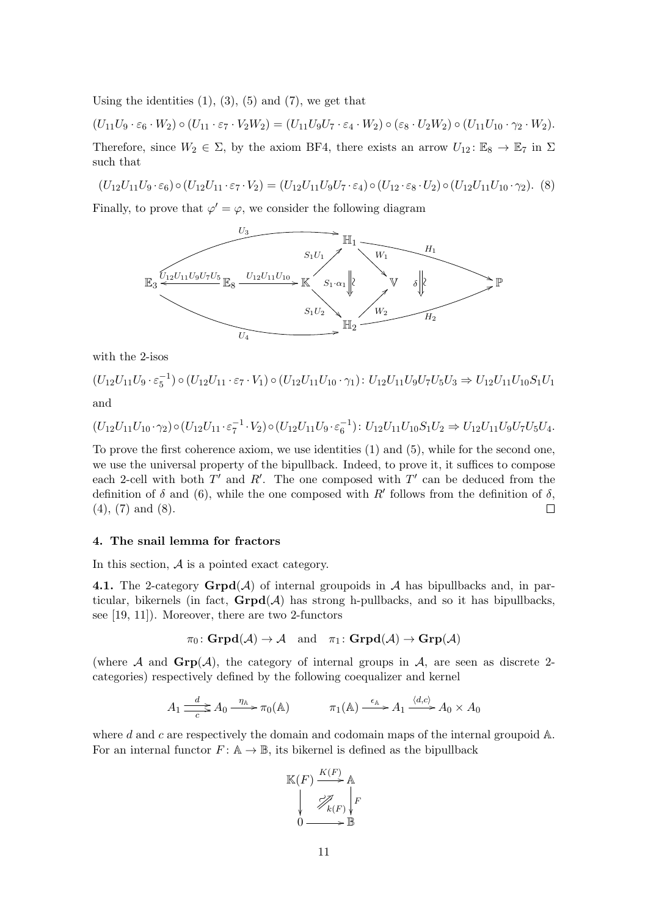Using the identities  $(1)$ ,  $(3)$ ,  $(5)$  and  $(7)$ , we get that

 $(U_{11}U_9 \cdot \varepsilon_6 \cdot W_2) \circ (U_{11} \cdot \varepsilon_7 \cdot V_2 W_2) = (U_{11}U_9U_7 \cdot \varepsilon_4 \cdot W_2) \circ (\varepsilon_8 \cdot U_2 W_2) \circ (U_{11}U_{10} \cdot \gamma_2 \cdot W_2).$ Therefore, since  $W_2 \in \Sigma$ , by the axiom BF4, there exists an arrow  $U_{12} : \mathbb{E}_8 \to \mathbb{E}_7$  in  $\Sigma$ such that

$$
(U_{12}U_{11}U_9 \cdot \varepsilon_6) \circ (U_{12}U_{11} \cdot \varepsilon_7 \cdot V_2) = (U_{12}U_{11}U_9U_7 \cdot \varepsilon_4) \circ (U_{12} \cdot \varepsilon_8 \cdot U_2) \circ (U_{12}U_{11}U_{10} \cdot \gamma_2).
$$
 (8)

Finally, to prove that  $\varphi' = \varphi$ , we consider the following diagram



with the 2-isos

 $(U_{12}U_{11}U_{9}\cdot\varepsilon_{5}^{-1})\circ(U_{12}U_{11}\cdot\varepsilon_{7}\cdot V_{1})\circ(U_{12}U_{11}U_{10}\cdot\gamma_{1})\colon U_{12}U_{11}U_{9}U_{7}U_{5}U_{3}\Rightarrow U_{12}U_{11}U_{10}S_{1}U_{10}U_{11}U_{10}U_{11}U_{10}U_{11}U_{10}U_{11}U_{10}U_{11}U_{10}U_{11}U_{10}U_{11}U_{10}U_{11}U_{10}U_{11}U_{10}U_{11}U$ and

$$
(U_{12}U_{11}U_{10}\cdot\gamma_2)\circ(U_{12}U_{11}\cdot\varepsilon_7^{-1}\cdot V_2)\circ(U_{12}U_{11}U_9\cdot\varepsilon_6^{-1})\colon U_{12}U_{11}U_{10}S_1U_2\Rightarrow U_{12}U_{11}U_9U_7U_5U_4.
$$

To prove the first coherence axiom, we use identities (1) and (5), while for the second one, we use the universal property of the bipullback. Indeed, to prove it, it suffices to compose each 2-cell with both  $T'$  and  $R'$ . The one composed with  $T'$  can be deduced from the definition of  $\delta$  and (6), while the one composed with R' follows from the definition of  $\delta$ , (4), (7) and (8).  $\Box$ 

#### 4. The snail lemma for fractors

In this section,  $A$  is a pointed exact category.

4.1. The 2-category  $\mathbf{Grpd}(\mathcal{A})$  of internal groupoids in  $\mathcal{A}$  has bipullbacks and, in particular, bikernels (in fact,  $\text{Grgd}(\mathcal{A})$  has strong h-pullbacks, and so it has bipullbacks, see [19, 11]). Moreover, there are two 2-functors

$$
\pi_0\colon \mathbf{Grpd}(\mathcal{A})\to \mathcal{A} \quad \text{and} \quad \pi_1\colon \mathbf{Grpd}(\mathcal{A})\to \mathbf{Grp}(\mathcal{A})
$$

(where  $A$  and  $\mathbf{Grp}(\mathcal{A})$ , the category of internal groups in  $\mathcal{A}$ , are seen as discrete 2categories) respectively defined by the following coequalizer and kernel

$$
A_1 \xrightarrow{d}_{c} A_0 \xrightarrow{\eta_{\mathbb{A}}} \pi_0(\mathbb{A}) \qquad \pi_1(\mathbb{A}) \xrightarrow{\epsilon_{\mathbb{A}}} A_1 \xrightarrow{\langle d,c \rangle} A_0 \times A_0
$$

where d and c are respectively the domain and codomain maps of the internal groupoid  $\mathbb{A}$ . For an internal functor  $F: A \to \mathbb{B}$ , its bikernel is defined as the bipullback

$$
\mathbb{K}(F) \xrightarrow{K(F)} \mathbb{A}
$$
\n
$$
\downarrow \qquad \qquad \nearrow_{k(F)} \downarrow \qquad \qquad F
$$
\n
$$
0 \xrightarrow{\qquad \qquad \nearrow_{k(F)} \downarrow} F
$$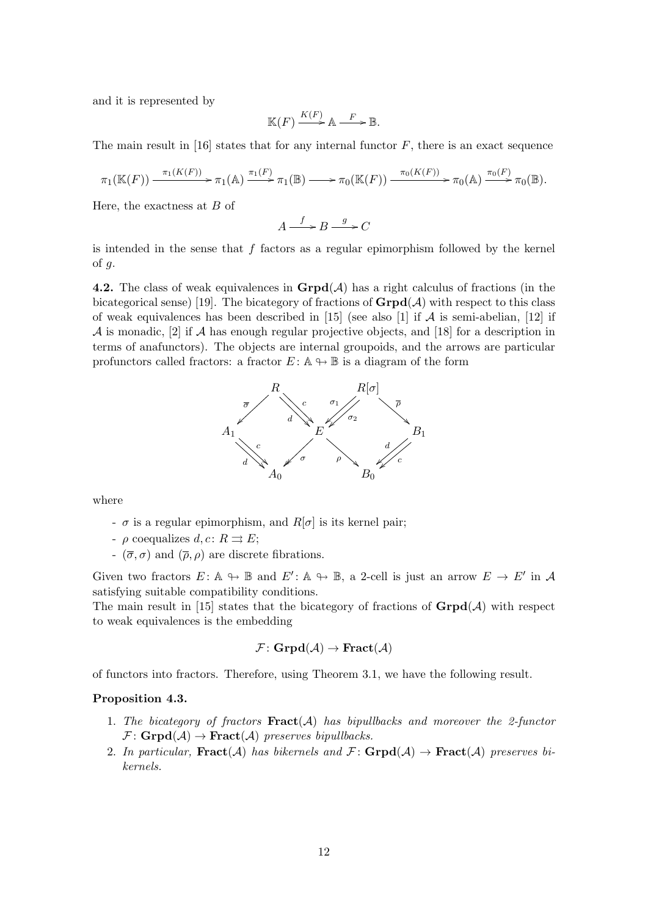and it is represented by

$$
\mathbb{K}(F) \xrightarrow{K(F)} \mathbb{A} \xrightarrow{F} \mathbb{B}.
$$

The main result in  $[16]$  states that for any internal functor F, there is an exact sequence

$$
\pi_1(\mathbb{K}(F)) \xrightarrow{\pi_1(K(F))} \pi_1(\mathbb{A}) \xrightarrow{\pi_1(F)} \pi_1(\mathbb{B}) \longrightarrow \pi_0(\mathbb{K}(F)) \xrightarrow{\pi_0(K(F))} \pi_0(\mathbb{A}) \xrightarrow{\pi_0(F)} \pi_0(\mathbb{B}).
$$

Here, the exactness at  $B$  of

$$
A \xrightarrow{f} B \xrightarrow{g} C
$$

is intended in the sense that  $f$  factors as a regular epimorphism followed by the kernel of  $g$ .

4.2. The class of weak equivalences in  $\mathbf{Grpd}(\mathcal{A})$  has a right calculus of fractions (in the bicategorical sense) [19]. The bicategory of fractions of  $\text{Grpd}(\mathcal{A})$  with respect to this class of weak equivalences has been described in [15] (see also [1] if  $\mathcal A$  is semi-abelian, [12] if A is monadic, [2] if A has enough regular projective objects, and [18] for a description in terms of anafunctors). The objects are internal groupoids, and the arrows are particular profunctors called fractors: a fractor  $E: \mathbb{A} \rightarrow \mathbb{B}$  is a diagram of the form



where

- $\sigma$  is a regular epimorphism, and  $R[\sigma]$  is its kernel pair;
- $\rho$  coequalizes  $d, c: R \rightrightarrows E;$
- $\overline{\sigma}$ ,  $\sigma$ ) and  $(\overline{\rho}, \rho)$  are discrete fibrations.

Given two fractors  $E: \mathbb{A} \to \mathbb{B}$  and  $E': \mathbb{A} \to \mathbb{B}$ , a 2-cell is just an arrow  $E \to E'$  in A satisfying suitable compatibility conditions.

The main result in [15] states that the bicategory of fractions of  $\mathbf{Grpd}(\mathcal{A})$  with respect to weak equivalences is the embedding

$$
\mathcal{F}\colon \mathbf{Grpd}(\mathcal{A})\to \mathbf{Fract}(\mathcal{A})
$$

of functors into fractors. Therefore, using Theorem 3.1, we have the following result.

#### Proposition 4.3.

- 1. The bicategory of fractors  $\textbf{Fract}(\mathcal{A})$  has bipullbacks and moreover the 2-functor  $\mathcal{F}: \mathbf{Grpd}(\mathcal{A}) \rightarrow \mathbf{Fract}(\mathcal{A})$  preserves bipullbacks.
- 2. In particular,  $\textbf{Fract}(\mathcal{A})$  has bikernels and  $\mathcal{F}$ :  $\textbf{Grpd}(\mathcal{A}) \rightarrow \textbf{Fract}(\mathcal{A})$  preserves bikernels.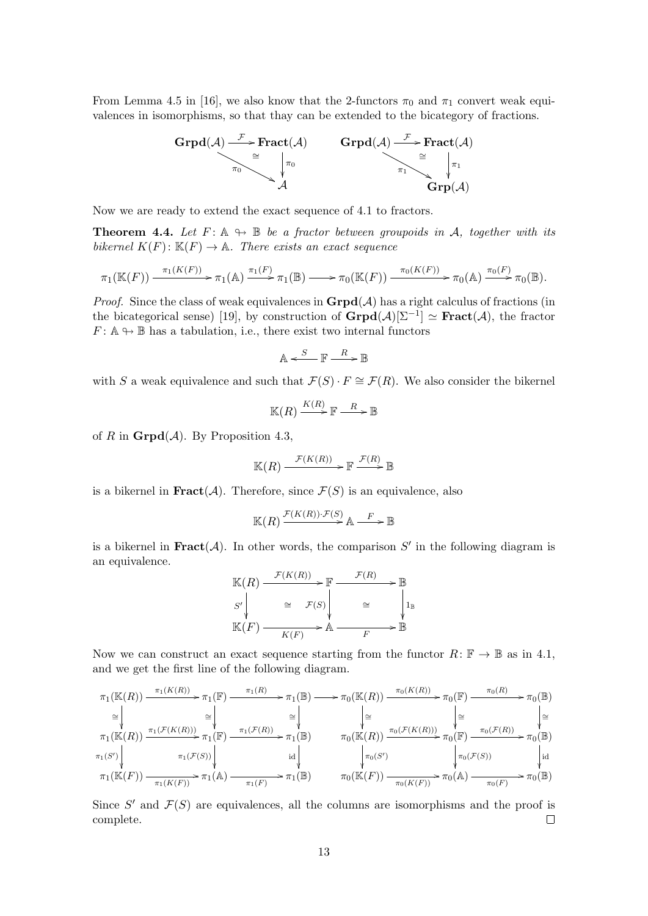From Lemma 4.5 in [16], we also know that the 2-functors  $\pi_0$  and  $\pi_1$  convert weak equivalences in isomorphisms, so that thay can be extended to the bicategory of fractions.



Now we are ready to extend the exact sequence of 4.1 to fractors.

**Theorem 4.4.** Let  $F: \mathbb{A} \to \mathbb{B}$  be a fractor between groupoids in A, together with its bikernel  $K(F): \mathbb{K}(F) \to \mathbb{A}$ . There exists an exact sequence

$$
\pi_1(\mathbb{K}(F)) \xrightarrow{\pi_1(K(F))} \pi_1(\mathbb{A}) \xrightarrow{\pi_1(F)} \pi_1(\mathbb{B}) \longrightarrow \pi_0(\mathbb{K}(F)) \xrightarrow{\pi_0(K(F))} \pi_0(\mathbb{A}) \xrightarrow{\pi_0(F)} \pi_0(\mathbb{B}).
$$

*Proof.* Since the class of weak equivalences in  $\text{Grpd}(\mathcal{A})$  has a right calculus of fractions (in the bicategorical sense) [19], by construction of  $\mathbf{Grpd}(\mathcal{A})[\Sigma^{-1}] \simeq \mathbf{Fract}(\mathcal{A}),$  the fractor  $F: \mathbb{A} \rightarrow \mathbb{B}$  has a tabulation, i.e., there exist two internal functors

$$
\mathbb{A} \xleftarrow{S} \mathbb{F} \xrightarrow{R} \mathbb{B}
$$

with S a weak equivalence and such that  $\mathcal{F}(S) \cdot F \cong \mathcal{F}(R)$ . We also consider the bikernel

$$
\mathbb{K}(R)\xrightarrow{K(R)}\mathbb{F}\xrightarrow{R}\mathbb{B}
$$

of R in  $\mathbf{Grpd}(\mathcal{A})$ . By Proposition 4.3,

$$
\mathbb{K}(R) \xrightarrow{\mathcal{F}(K(R))} \mathbb{F} \xrightarrow{\mathcal{F}(R)} \mathbb{B}
$$

is a bikernel in **Fract**( $\mathcal{A}$ ). Therefore, since  $\mathcal{F}(S)$  is an equivalence, also

$$
\mathbb{K}(R) \xrightarrow{\mathcal{F}(K(R)) \cdot \mathcal{F}(S)} \mathbb{A} \xrightarrow{F} \mathbb{B}
$$

is a bikernel in **Fract**( $A$ ). In other words, the comparison  $S'$  in the following diagram is an equivalence.

$$
\mathbb{K}(R) \xrightarrow{\mathcal{F}(K(R))} \mathbb{F} \xrightarrow{\mathcal{F}(R)} \mathbb{B}
$$
\n
$$
S' \downarrow \cong \mathcal{F}(S) \downarrow \cong \downarrow_{\mathbb{I}_{\mathbb{B}}}
$$
\n
$$
\mathbb{K}(F) \xrightarrow{K(F)} \mathbb{A} \xrightarrow{F} \mathbb{B}
$$

Now we can construct an exact sequence starting from the functor  $R: \mathbb{F} \to \mathbb{B}$  as in 4.1, and we get the first line of the following diagram.

$$
\pi_1(\mathbb{K}(R)) \xrightarrow{\pi_1(K(R))} \pi_1(\mathbb{F}) \xrightarrow{\pi_1(R)} \pi_1(\mathbb{F}) \xrightarrow{\pi_1(R)} \pi_1(\mathbb{F}) \xrightarrow{\pi_1(K(R))} \pi_1(\mathbb{F}) \xrightarrow{\pi_1(K(R))} \pi_1(\mathbb{F}) \xrightarrow{\pi_1(K(R))} \pi_1(\mathbb{F}) \xrightarrow{\pi_1(K(R))} \pi_1(\mathbb{F}) \xrightarrow{\pi_1(K(R))} \pi_1(\mathbb{F}) \xrightarrow{\pi_1(K(R))} \pi_1(\mathbb{F}) \xrightarrow{\pi_1(K(S))} \text{id } \qquad \qquad \pi_1(K(F)) \xrightarrow{\pi_1(K(F))} \pi_1(\mathbb{K}(F)) \xrightarrow{\pi_1(K(F))} \pi_1(\mathbb{K}(F)) \xrightarrow{\pi_1(K(F))} \pi_1(\mathbb{K}(F)) \xrightarrow{\pi_1(K(F))} \pi_1(\mathbb{K}(F)) \xrightarrow{\pi_1(K(F))} \pi_1(\mathbb{K}(F)) \xrightarrow{\pi_1(K(F))} \pi_1(\mathbb{K}(F)) \xrightarrow{\pi_1(K(F))} \pi_1(\mathbb{K}(F)) \xrightarrow{\pi_1(K(F))} \pi_1(\mathbb{K}(F)) \xrightarrow{\pi_1(K(F))} \pi_1(\mathbb{K}(F)) \xrightarrow{\pi_1(K(F))} \pi_1(\mathbb{K}(F)) \xrightarrow{\pi_1(K(F))} \pi_1(\mathbb{K}(F)) \xrightarrow{\pi_1(K(F))} \pi_1(\mathbb{K}(F)) \xrightarrow{\pi_1(K(F))} \pi_1(\mathbb{K}(F)) \xrightarrow{\pi_1(K(F))} \pi_1(\mathbb{K}(F)) \xrightarrow{\pi_1(K(F))} \pi_1(\mathbb{K}(F)) \xrightarrow{\pi_1(K(F))} \pi_1(\mathbb{K}(F)) \xrightarrow{\pi_1(K(F))} \pi_1(\mathbb{K}(F)) \xrightarrow{\pi_1(K(F))} \pi_1(\mathbb{K}(F)) \xrightarrow{\pi_1(K(F))} \pi_1(\mathbb{K}(F)) \xrightarrow{\pi_1(K(F))} \pi_1(\mathbb{K}(F)) \xrightarrow{\pi_1(K(F))} \pi_1(\mathbb{K}(F)) \xrightarrow{\pi_1(K(F))} \pi_1(\mathbb{K}(F)) \xrightarrow{\pi_1(K(F))} \pi_1(\mathbb{K}(F)) \xrightarrow{\pi
$$

Since  $S'$  and  $\mathcal{F}(S)$  are equivalences, all the columns are isomorphisms and the proof is complete.  $\Box$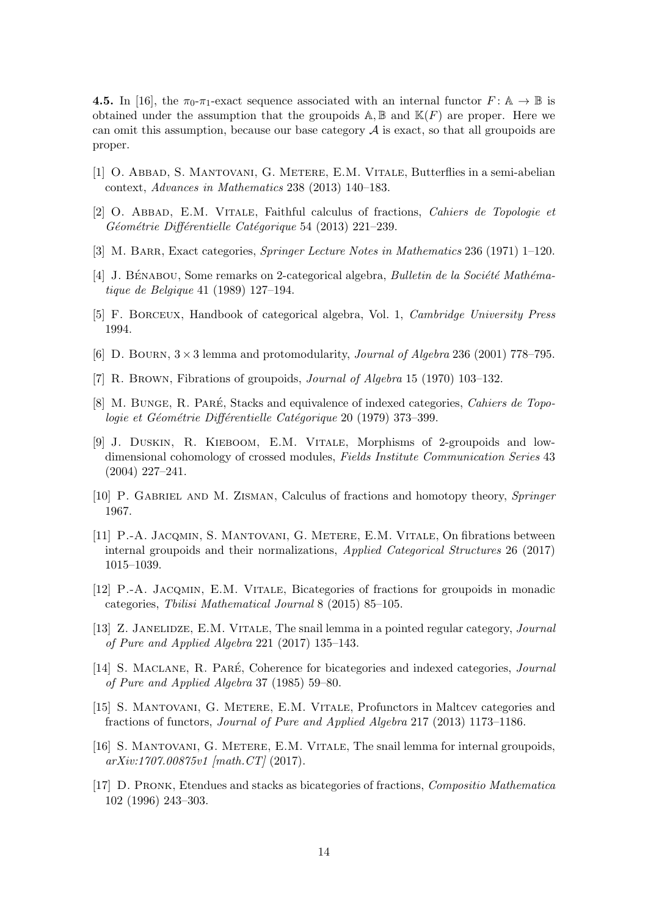**4.5.** In [16], the  $\pi_0$ - $\pi_1$ -exact sequence associated with an internal functor  $F: A \to \mathbb{B}$  is obtained under the assumption that the groupoids  $\mathbb{A}, \mathbb{B}$  and  $\mathbb{K}(F)$  are proper. Here we can omit this assumption, because our base category  $A$  is exact, so that all groupoids are proper.

- [1] O. ABBAD, S. MANTOVANI, G. METERE, E.M. VITALE, Butterflies in a semi-abelian context, Advances in Mathematics 238 (2013) 140–183.
- [2] O. ABBAD, E.M. VITALE, Faithful calculus of fractions, Cahiers de Topologie et Géométrie Différentielle Catégorique 54 (2013) 221–239.
- [3] M. BARR, Exact categories, *Springer Lecture Notes in Mathematics* 236 (1971) 1–120.
- [4] J. BÉNABOU, Some remarks on 2-categorical algebra, Bulletin de la Société Mathématique de Belgique 41 (1989) 127–194.
- [5] F. Borceux, Handbook of categorical algebra, Vol. 1, Cambridge University Press 1994.
- [6] D. BOURN,  $3 \times 3$  lemma and protomodularity, *Journal of Algebra* 236 (2001) 778–795.
- [7] R. Brown, Fibrations of groupoids, Journal of Algebra 15 (1970) 103–132.
- [8] M. BUNGE, R. PARÉ, Stacks and equivalence of indexed categories, Cahiers de Topologie et Géométrie Différentielle Catégorique 20 (1979) 373–399.
- [9] J. Duskin, R. Kieboom, E.M. Vitale, Morphisms of 2-groupoids and lowdimensional cohomology of crossed modules, Fields Institute Communication Series 43 (2004) 227–241.
- [10] P. GABRIEL AND M. ZISMAN, Calculus of fractions and homotopy theory, *Springer* 1967.
- [11] P.-A. Jacqmin, S. Mantovani, G. Metere, E.M. Vitale, On fibrations between internal groupoids and their normalizations, Applied Categorical Structures 26 (2017) 1015–1039.
- [12] P.-A. Jacqmin, E.M. Vitale, Bicategories of fractions for groupoids in monadic categories, Tbilisi Mathematical Journal 8 (2015) 85–105.
- [13] Z. JANELIDZE, E.M. VITALE, The snail lemma in a pointed regular category, Journal of Pure and Applied Algebra 221 (2017) 135–143.
- [14] S. MACLANE, R. PARÉ, Coherence for bicategories and indexed categories, *Journal* of Pure and Applied Algebra 37 (1985) 59–80.
- [15] S. Mantovani, G. Metere, E.M. Vitale, Profunctors in Maltcev categories and fractions of functors, Journal of Pure and Applied Algebra 217 (2013) 1173–1186.
- [16] S. Mantovani, G. Metere, E.M. Vitale, The snail lemma for internal groupoids, arXiv:1707.00875v1 [math.CT] (2017).
- [17] D. Pronk, Etendues and stacks as bicategories of fractions, Compositio Mathematica 102 (1996) 243–303.